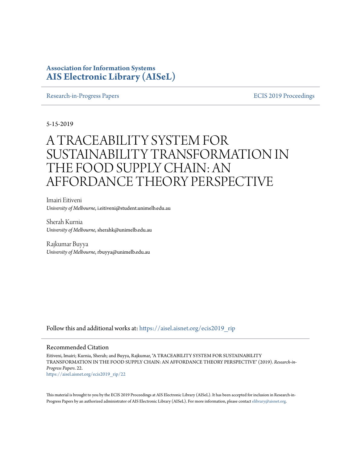# **Association for Information Systems [AIS Electronic Library \(AISeL\)](https://aisel.aisnet.org?utm_source=aisel.aisnet.org%2Fecis2019_rip%2F22&utm_medium=PDF&utm_campaign=PDFCoverPages)**

[Research-in-Progress Papers](https://aisel.aisnet.org/ecis2019_rip?utm_source=aisel.aisnet.org%2Fecis2019_rip%2F22&utm_medium=PDF&utm_campaign=PDFCoverPages) **ECIS 2019** Proceedings

5-15-2019

# A TRACEABILITY SYSTEM FOR SUSTAINABILITY TRANSFORMATION IN THE FOOD SUPPLY CHAIN: AN AFFORDANCE THEORY PERSPECTIVE

Imairi Eitiveni *University of Melbourne*, i.eitiveni@student.unimelb.edu.au

Sherah Kurnia *University of Melbourne*, sherahk@unimelb.edu.au

Rajkumar Buyya *University of Melbourne*, rbuyya@unimelb.edu.au

Follow this and additional works at: [https://aisel.aisnet.org/ecis2019\\_rip](https://aisel.aisnet.org/ecis2019_rip?utm_source=aisel.aisnet.org%2Fecis2019_rip%2F22&utm_medium=PDF&utm_campaign=PDFCoverPages)

#### Recommended Citation

Eitiveni, Imairi; Kurnia, Sherah; and Buyya, Rajkumar, "A TRACEABILITY SYSTEM FOR SUSTAINABILITY TRANSFORMATION IN THE FOOD SUPPLY CHAIN: AN AFFORDANCE THEORY PERSPECTIVE" (2019). *Research-in-Progress Papers*. 22. [https://aisel.aisnet.org/ecis2019\\_rip/22](https://aisel.aisnet.org/ecis2019_rip/22?utm_source=aisel.aisnet.org%2Fecis2019_rip%2F22&utm_medium=PDF&utm_campaign=PDFCoverPages)

This material is brought to you by the ECIS 2019 Proceedings at AIS Electronic Library (AISeL). It has been accepted for inclusion in Research-inProgress Papers by an authorized administrator of AIS Electronic Library (AISeL). For more information, please contact [elibrary@aisnet.org.](mailto:elibrary@aisnet.org%3E)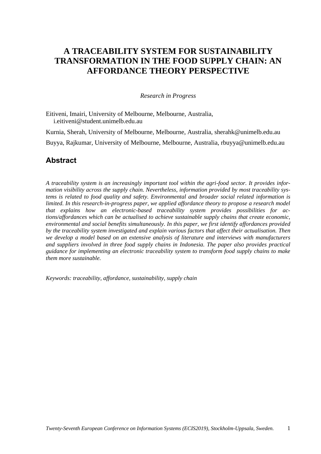# **A TRACEABILITY SYSTEM FOR SUSTAINABILITY TRANSFORMATION IN THE FOOD SUPPLY CHAIN: AN AFFORDANCE THEORY PERSPECTIVE**

#### *Research in Progress*

Eitiveni, Imairi, University of Melbourne, Melbourne, Australia, [i.eitiveni@student.unimelb.edu.au](mailto:i.eitiveni@student.unimelb.edu.au)

Kurnia, Sherah, University of Melbourne, Melbourne, Australia, [sherahk@unimelb.edu.au](mailto:sherahk@unimelb.edu.au) Buyya, Rajkumar, University of Melbourne, Melbourne, Australia, [rbuyya@unimelb.edu.au](mailto:rbuyya@unimelb.edu.au)

# **Abstract**

*A traceability system is an increasingly important tool within the agri-food sector. It provides information visibility across the supply chain. Nevertheless, information provided by most traceability systems is related to food quality and safety. Environmental and broader social related information is limited. In this research-in-progress paper, we applied affordance theory to propose a research model that explains how an electronic-based traceability system provides possibilities for actions/affordances which can be actualised to achieve sustainable supply chains that create economic, environmental and social benefits simultaneously. In this paper, we first identify affordances provided by the traceability system investigated and explain various factors that affect their actualisation. Then we develop a model based on an extensive analysis of literature and interviews with manufacturers and suppliers involved in three food supply chains in Indonesia. The paper also provides practical guidance for implementing an electronic traceability system to transform food supply chains to make them more sustainable.*

*Keywords: traceability, affordance, sustainability, supply chain*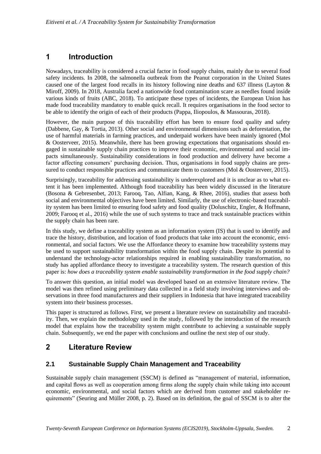# **1 Introduction**

Nowadays, traceability is considered a crucial factor in food supply chains, mainly due to several food safety incidents. In 2008, the salmonella outbreak from the Peanut corporation in the United States caused one of the largest food recalls in its history following nine deaths and 637 illness (Layton & Miroff, 2009). In 2018, Australia faced a nationwide food contamination scare as needles found inside various kinds of fruits (ABC, 2018). To anticipate these types of incidents, the European Union has made food traceability mandatory to enable quick recall. It requires organisations in the food sector to be able to identify the origin of each of their products (Pappa, Iliopoulos, & Massouras, 2018).

However, the main purpose of this traceability effort has been to ensure food quality and safety (Dabbene, Gay, & Tortia, 2013). Other social and environmental dimensions such as deforestation, the use of harmful materials in farming practices, and underpaid workers have been mainly ignored (Mol & Oosterveer, 2015). Meanwhile, there has been growing expectations that organisations should engaged in sustainable supply chain practices to improve their economic, environmental and social impacts simultaneously. Sustainability considerations in food production and delivery have become a factor affecting consumers' purchasing decision. Thus, organisations in food supply chains are pressured to conduct responsible practices and communicate them to customers (Mol & Oosterveer, 2015).

Surprisingly, traceability for addressing sustainability is underexplored and it is unclear as to what extent it has been implemented. Although food traceability has been widely discussed in the literature (Bosona & Gebresenbet, 2013; Farooq, Tao, Alfian, Kang, & Rhee, 2016), studies that assess both social and environmental objectives have been limited. Similarly, the use of electronic-based traceability system has been limited to ensuring food safety and food quality (Doluschitz, Engler, & Hoffmann, 2009; Farooq et al., 2016) while the use of such systems to trace and track sustainable practices within the supply chain has been rare.

In this study, we define a traceability system as an information system (IS) that is used to identify and trace the history, distribution, and location of food products that take into account the economic, environmental, and social factors. We use the Affordance theory to examine how traceability systems may be used to support sustainability transformation within the food supply chain. Despite its potential to understand the technology-actor relationships required in enabling sustainability transformation, no study has applied affordance theory to investigate a traceability system. The research question of this paper is: *how does a traceability system enable sustainability transformation in the food supply chain?*

To answer this question, an initial model was developed based on an extensive literature review. The model was then refined using preliminary data collected in a field study involving interviews and observations in three food manufacturers and their suppliers in Indonesia that have integrated traceability system into their business processes.

This paper is structured as follows. First, we present a literature review on sustainability and traceability. Then, we explain the methodology used in the study, followed by the introduction of the research model that explains how the traceability system might contribute to achieving a sustainable supply chain. Subsequently, we end the paper with conclusions and outline the next step of our study.

# **2 Literature Review**

### **2.1 Sustainable Supply Chain Management and Traceability**

Sustainable supply chain management (SSCM) is defined as "management of material, information, and capital flows as well as cooperation among firms along the supply chain while taking into account economic, environmental, and social factors which are derived from customer and stakeholder requirements" (Seuring and Müller 2008, p. 2). Based on its definition, the goal of SSCM is to alter the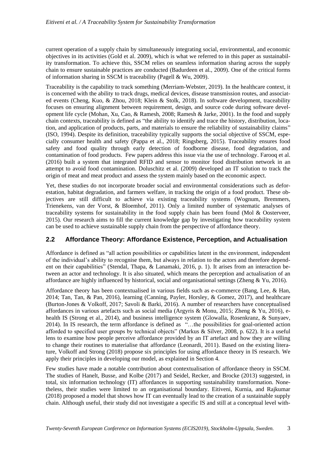current operation of a supply chain by simultaneously integrating social, environmental, and economic objectives in its activities (Gold et al. 2009), which is what we referred to in this paper as sustainability transformation. To achieve this, SSCM relies on seamless information sharing across the supply chain to ensure sustainable practices are conducted (Badurdeen et al., 2009). One of the critical forms of information sharing in SSCM is traceability (Pagell & Wu, 2009).

Traceability is the capability to track something (Merriam-Webster, 2019). In the healthcare context, it is concerned with the ability to track drugs, medical devices, disease transmission routes, and associated events (Cheng, Kuo, & Zhou, 2018; Klein & Stolk, 2018). In software development, traceability focuses on ensuring alignment between requirement, design, and source code during software development life cycle (Mohan, Xu, Cao, & Ramesh, 2008; Ramesh & Jarke, 2001). In the food and supply chain contexts, traceability is defined as "the ability to identify and trace the history, distribution, location, and application of products, parts, and materials to ensure the reliability of sustainability claims" (ISO, 1994). Despite its definition, traceability typically supports the social objective of SSCM, especially consumer health and safety (Pappa et al., 2018; Ringsberg, 2015). Traceability ensures food safety and food quality through early detection of foodborne disease, food degradation, and contamination of food products. Few papers address this issue via the use of technology. Farooq et al. (2016) built a system that integrated RFID and sensor to monitor food distribution network in an attempt to avoid food contamination. Doluschitz et al. (2009) developed an IT solution to track the origin of meat and meat product and assess the system mainly based on the economic aspect.

Yet, these studies do not incorporate broader social and environmental considerations such as deforestation, habitat degradation, and farmers welfare, in tracking the origin of a food product. These objectives are still difficult to achieve via existing traceability systems (Wognum, Bremmers, Trienekens, van der Vorst, & Bloemhof, 2011). Only a limited number of systematic analyses of traceability systems for sustainability in the food supply chain has been found (Mol & Oosterveer, 2015). Our research aims to fill the current knowledge gap by investigating how traceability system can be used to achieve sustainable supply chain from the perspective of affordance theory.

### **2.2 Affordance Theory: Affordance Existence, Perception, and Actualisation**

Affordance is defined as "all action possibilities or capabilities latent in the environment, independent of the individual's ability to recognise them, but always in relation to the actors and therefore dependent on their capabilities" (Stendal, Thapa, & Lanamaki, 2016, p. 1). It arises from an interaction between an actor and technology. It is also situated, which means the perception and actualisation of an affordance are highly influenced by historical, social and organisational settings (Zheng & Yu, 2016).

Affordance theory has been contextualised in various fields such as e-commerce (Bang, Lee, & Han, 2014; Tan, Tan, & Pan, 2016), learning (Canning, Payler, Horsley, & Gomez, 2017), and healthcare (Burton-Jones & Volkoff, 2017; Savoli & Barki, 2016). A number of researchers have conceptualised affordances in various artefacts such as social media (Argyris & Monu, 2015; Zheng & Yu, 2016), ehealth IS (Strong et al., 2014), and business intelligence system (Glowalla, Rosenkranz, & Sunyaev, 2014). In IS research, the term affordance is defined as "…the possibilities for goal-oriented action afforded to specified user groups by technical objects" (Markus & Silver, 2008, p. 622). It is a useful lens to examine how people perceive affordance provided by an IT artefact and how they are willing to change their routines to materialise that affordance (Leonardi, 2011). Based on the existing literature, Volkoff and Strong (2018) propose six principles for using affordance theory in IS research. We apply their principles in developing our model, as explained in Section 4.

Few studies have made a notable contribution about contextualisation of affordance theory in SSCM. The studies of Hanelt, Busse, and Kolbe (2017) and Seidel, Recker, and Brocke (2013) suggested, in total, six information technology (IT) affordances in supporting sustainability transformation. Nonetheless, their studies were limited to an organisational boundary. Eitiveni, Kurnia, and Rajkumar (2018) proposed a model that shows how IT can eventually lead to the creation of a sustainable supply chain. Although useful, their study did not investigate a specific IS and still at a conceptual level with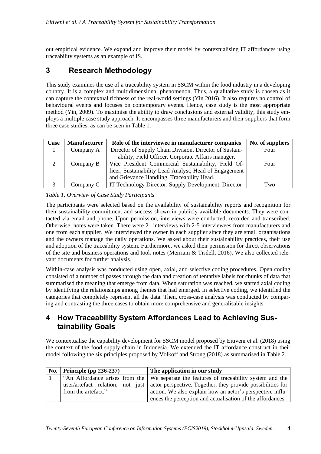out empirical evidence. We expand and improve their model by contextualising IT affordances using traceability systems as an example of IS.

# **3 Research Methodology**

This study examines the use of a traceability system in SSCM within the food industry in a developing country. It is a complex and multidimensional phenomenon. Thus, a qualitative study is chosen as it can capture the contextual richness of the real-world settings (Yin 2016). It also requires no control of behavioural events and focuses on contemporary events. Hence, case study is the most appropriate method (Yin, 2009). To maximise the ability to draw conclusions and external validity, this study employs a multiple case study approach. It encompasses three manufacturers and their suppliers that form three case studies, as can be seen in Table 1.

| Case | <b>Manufacturer</b> | Role of the interviewee in manufacturer companies       | No. of suppliers |
|------|---------------------|---------------------------------------------------------|------------------|
|      | Company A           | Director of Supply Chain Division, Director of Sustain- | Four             |
|      |                     | ability, Field Officer, Corporate Affairs manager.      |                  |
| 2    | Company B           | Vice President Commercial Sustainability, Field Of-     | Four             |
|      |                     | ficer, Sustainability Lead Analyst, Head of Engagement  |                  |
|      |                     | and Grievance Handling, Traceability Head.              |                  |
|      | Company C           | IT Technology Director, Supply Development Director     | Two              |

*Table 1. Overview of Case Study Participants*

The participants were selected based on the availability of sustainability reports and recognition for their sustainability commitment and success shown in publicly available documents. They were contacted via email and phone. Upon permission, interviews were conducted, recorded and transcribed. Otherwise, notes were taken. There were 21 interviews with 2-5 interviewees from manufacturers and one from each supplier. We interviewed the owner in each supplier since they are small organisations and the owners manage the daily operations. We asked about their sustainability practices, their use and adoption of the traceability system. Furthermore, we asked their permission for direct observations of the site and business operations and took notes (Merriam  $\&$  Tisdell, 2016). We also collected relevant documents for further analysis.

Within-case analysis was conducted using open, axial, and selective coding procedures. Open coding consisted of a number of passes through the data and creation of tentative labels for chunks of data that summarised the meaning that emerge from data. When saturation was reached, we started axial coding by identifying the relationships among themes that had emerged. In selective coding, we identified the categories that completely represent all the data. Then, cross-case analysis was conducted by comparing and contrasting the three cases to obtain more comprehensive and generalisable insights.

# **4 How Traceability System Affordances Lead to Achieving Sustainability Goals**

We contextualise the capability development for SSCM model proposed by Eitiveni et al. (2018) using the context of the food supply chain in Indonesia. We extended the IT affordance construct in their model following the six principles proposed by Volkoff and Strong (2018) as summarised in Table 2.

| No. | Principle (pp $236-237$ ) | The application in our study                                                                 |
|-----|---------------------------|----------------------------------------------------------------------------------------------|
|     |                           | "An Affordance arises from the We separate the features of traceability system and the       |
|     |                           | user/artefact relation, not just actor perspective. Together, they provide possibilities for |
|     | from the artefact."       | action. We also explain how an actor's perspective influ-                                    |
|     |                           | ences the perception and actualisation of the affordances                                    |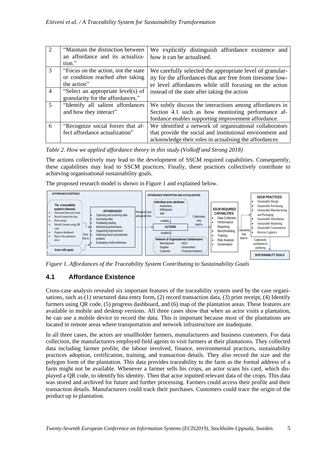| 2              | "Maintain the distinction between"   | We explicitly distinguish affordance existence and        |
|----------------|--------------------------------------|-----------------------------------------------------------|
|                | an affordance and its actualiza-     | how it can be actualised.                                 |
|                | tion."                               |                                                           |
| 3              | "Focus on the action, not the state" | We carefully selected the appropriate level of granular-  |
|                | or condition reached after taking    | ity for the affordances that are free from tiresome low-  |
|                | the action"                          | er level affordances while still focusing on the action   |
| $\overline{4}$ | "Select an appropriate level(s) of   | instead of the state after taking the action              |
|                | granularity for the affordances."    |                                                           |
| $\overline{5}$ | "Identify all salient affordances"   | We subtly discuss the interactions among affordances in   |
|                | and how they interact"               | Section 4.1 such as how monitoring performance af-        |
|                |                                      | fordance enables supporting improvement affordance.       |
| 6              | "Recognize social forces that af-    | We identified a network of organisational collaborators   |
|                | fect affordance actualization"       | that provide the social and institutional environment and |
|                |                                      | acknowledge their roles in actualising the affordances    |

*Table 2. How we applied affordance theory in this study (Volkoff and Strong 2018)*

The actions collectively may lead to the development of SSCM required capabilities. Consequently, these capabilities may lead to SSCM practices. Finally, these practices collectively contribute to achieving organisational sustainability goals.

The proposed research model is shown in Figure 1 and explained below.



*Figure 1. Affordances of the Traceability System Contributing to Sustainability Goals* 

### **4.1 Affordance Existence**

Cross-case analysis revealed six important features of the traceability system used by the case organisations, such as (1) structured data entry form, (2) record transaction data, (3) print receipt, (4) Identify farmers using QR code, (5) progress dashboard, and (6) map of the plantation areas. These features are available in mobile and desktop versions. All three cases show that when an actor visits a plantation, he can use a mobile device to record the data. This is important because most of the plantations are located in remote areas where transportation and network infrastructure are inadequate.

In all three cases, the actors are smallholder farmers, manufacturers and business customers. For data collection, the manufacturers employed field agents to visit farmers at their plantations. They collected data including farmer profile, the labour involved, finance, environmental practices, sustainability practices adoption, certification, training, and transaction details. They also record the size and the polygon form of the plantation. This data provides traceability to the farm as the formal address of a farm might not be available. Whenever a farmer sells his crops, an actor scans his card, which displayed a QR code, to identify his identity. Then that actor inputted relevant data of the crops. This data was stored and archived for future and further processing. Farmers could access their profile and their transaction details. Manufacturers could track their purchases. Customers could trace the origin of the product up to plantation.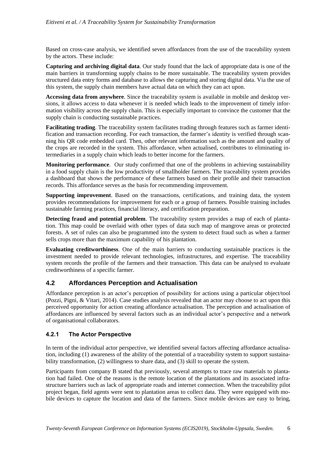Based on cross-case analysis, we identified seven affordances from the use of the traceability system by the actors. These include:

**Capturing and archiving digital data**. Our study found that the lack of appropriate data is one of the main barriers in transforming supply chains to be more sustainable. The traceability system provides structured data entry forms and database to allows the capturing and storing digital data. Via the use of this system, the supply chain members have actual data on which they can act upon.

**Accessing data from anywhere**. Since the traceability system is available in mobile and desktop versions, it allows access to data whenever it is needed which leads to the improvement of timely information visibility across the supply chain. This is especially important to convince the customer that the supply chain is conducting sustainable practices.

**Facilitating trading**. The traceability system facilitates trading through features such as farmer identification and transaction recording. For each transaction, the farmer's identity is verified through scanning his QR code embedded card. Then, other relevant information such as the amount and quality of the crops are recorded in the system. This affordance, when actualised, contributes to eliminating intermediaries in a supply chain which leads to better income for the farmers.

**Monitoring performance**. Our study confirmed that one of the problems in achieving sustainability in a food supply chain is the low productivity of smallholder farmers. The traceability system provides a dashboard that shows the performance of these farmers based on their profile and their transaction records. This affordance serves as the basis for recommending improvement.

**Supporting improvement**. Based on the transactions, certifications, and training data, the system provides recommendations for improvement for each or a group of farmers. Possible training includes sustainable farming practices, financial literacy, and certification preparation.

**Detecting fraud and potential problem**. The traceability system provides a map of each of plantation. This map could be overlaid with other types of data such map of mangrove areas or protected forests. A set of rules can also be programmed into the system to detect fraud such as when a farmer sells crops more than the maximum capability of his plantation.

**Evaluating creditworthiness**. One of the main barriers to conducting sustainable practices is the investment needed to provide relevant technologies, infrastructures, and expertise. The traceability system records the profile of the farmers and their transaction. This data can be analysed to evaluate creditworthiness of a specific farmer.

### **4.2 Affordances Perception and Actualisation**

Affordance perception is an actor's perception of possibility for actions using a particular object/tool (Pozzi, Pigni, & Vitari, 2014). Case studies analysis revealed that an actor may choose to act upon this perceived opportunity for action creating affordance actualisation. The perception and actualisation of affordances are influenced by several factors such as an individual actor's perspective and a network of organisational collaborators.

### **4.2.1 The Actor Perspective**

In term of the individual actor perspective, we identified several factors affecting affordance actualisation, including (1) awareness of the ability of the potential of a traceability system to support sustainability transformation, (2) willingness to share data, and (3) skill to operate the system.

Participants from company B stated that previously, several attempts to trace raw materials to plantation had failed. One of the reasons is the remote location of the plantations and its associated infrastructure barriers such as lack of appropriate roads and internet connection. When the traceability pilot project began, field agents were sent to plantation areas to collect data. They were equipped with mobile devices to capture the location and data of the farmers. Since mobile devices are easy to bring,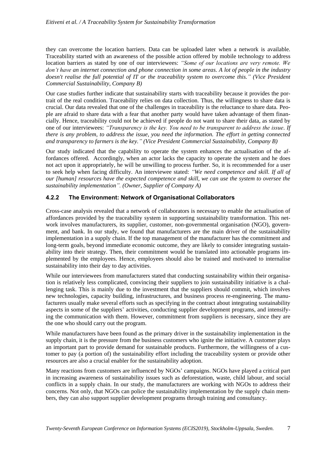they can overcome the location barriers. Data can be uploaded later when a network is available. Traceability started with an awareness of the possible action offered by mobile technology to address location barriers as stated by one of our interviewees: *"Some of our locations are very remote. We don't have an internet connection and phone connection in some areas. A lot of people in the industry doesn't realise the full potential of IT or the traceability system to overcome this." (Vice President Commercial Sustainability, Company B)*

Our case studies further indicate that sustainability starts with traceability because it provides the portrait of the real condition. Traceability relies on data collection. Thus, the willingness to share data is crucial. Our data revealed that one of the challenges in traceability is the reluctance to share data. People are afraid to share data with a fear that another party would have taken advantage of them financially. Hence, traceability could not be achieved if people do not want to share their data, as stated by one of our interviewees: *"Transparency is the key. You need to be transparent to address the issue. If there is any problem, to address the issue, you need the information. The effort in getting connected and transparency to farmers is the key." (Vice President Commercial Sustainability, Company B)*

Our study indicated that the capability to operate the system enhances the actualisation of the affordances offered. Accordingly, when an actor lacks the capacity to operate the system and he does not act upon it appropriately, he will be unwilling to process further. So, it is recommended for a user to seek help when facing difficulty. An interviewee stated: *"We need competence and skill. If all of our [human] resources have the expected competence and skill, we can use the system to oversee the sustainability implementation". (Owner, Supplier of Company A)*

#### **4.2.2 The Environment: Network of Organisational Collaborators**

Cross-case analysis revealed that a network of collaborators is necessary to enable the actualisation of affordances provided by the traceability system in supporting sustainability transformation. This network involves manufacturers, its supplier, customer, non-governmental organisation (NGO), government, and bank. In our study, we found that manufacturers are the main driver of the sustainability implementation in a supply chain. If the top management of the manufacturer has the commitment and long-term goals, beyond immediate economic outcome, they are likely to consider integrating sustainability into their strategy. Then, their commitment would be translated into actionable programs implemented by the employees. Hence, employees should also be trained and motivated to internalise sustainability into their day to day activities.

While our interviewees from manufacturers stated that conducting sustainability within their organisation is relatively less complicated, convincing their suppliers to join sustainability initiative is a challenging task. This is mainly due to the investment that the suppliers should commit, which involves new technologies, capacity building, infrastructures, and business process re-engineering. The manufacturers usually make several efforts such as specifying in the contract about integrating sustainability aspects in some of the suppliers' activities, conducting supplier development programs, and intensifying the communication with them. However, commitment from suppliers is necessary, since they are the one who should carry out the program.

While manufacturers have been found as the primary driver in the sustainability implementation in the supply chain, it is the pressure from the business customers who ignite the initiative. A customer plays an important part to provide demand for sustainable products. Furthermore, the willingness of a customer to pay (a portion of) the sustainability effort including the traceability system or provide other resources are also a crucial enabler for the sustainability adoption.

Many reactions from customers are influenced by NGOs' campaigns. NGOs have played a critical part in increasing awareness of sustainability issues such as deforestation, waste, child labour, and social conflicts in a supply chain. In our study, the manufacturers are working with NGOs to address their concerns. Not only, that NGOs can police the sustainability implementation by the supply chain members, they can also support supplier development programs through training and consultancy.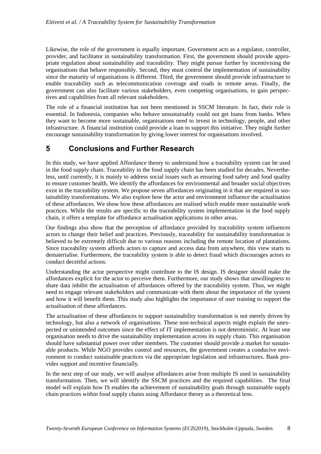Likewise, the role of the government is equally important. Government acts as a regulator, controller, provider, and facilitator in sustainability transformation. First, the government should provide appropriate regulation about sustainability and traceability. They might pursue further by incentivising the organisations that behave responsibly. Second, they must control the implementation of sustainability since the maturity of organisations is different. Third, the government should provide infrastructure to enable traceability such as telecommunication coverage and roads in remote areas. Finally, the government can also facilitate various stakeholders, even competing organisations, to gain perspectives and capabilities from all relevant stakeholders.

The role of a financial institution has not been mentioned in SSCM literature. In fact, their role is essential. In Indonesia, companies who behave unsustainably could not get loans from banks. When they want to become more sustainable, organisations need to invest in technology, people, and other infrastructure. A financial institution could provide a loan to support this initiative. They might further encourage sustainability transformation by giving lower interest for organisations involved.

# **5 Conclusions and Further Research**

In this study, we have applied Affordance theory to understand how a traceability system can be used in the food supply chain. Traceability in the food supply chain has been studied for decades. Nevertheless, until currently, it is mainly to address social issues such as ensuring food safety and food quality to ensure customer health. We identify the affordances for environmental and broader social objectives exist in the traceability system. We propose seven affordances originating in it that are required in sustainability transformations. We also explore how the actor and environment influence the actualisation of these affordances. We show how these affordances are realised which enable more sustainable work practices. While the results are specific to the traceability system implementation in the food supply chain, it offers a template for affordance actualisation applications in other areas.

Our findings also show that the perception of affordance provided by traceability system influences actors to change their belief and practices. Previously, traceability for sustainability transformation is believed to be extremely difficult due to various reasons including the remote location of plantations. Since traceability system affords actors to capture and access data from anywhere, this view starts to dematerialise. Furthermore, the traceability system is able to detect fraud which discourages actors to conduct deceitful actions.

Understanding the actor perspective might contribute to the IS design. IS designer should make the affordances explicit for the actor to perceive them. Furthermore, our study shows that unwillingness to share data inhibit the actualisation of affordances offered by the traceability system. Thus, we might need to engage relevant stakeholders and communicate with them about the importance of the system and how it will benefit them. This study also highlights the importance of user training to support the actualisation of these affordances.

The actualisation of these affordances to support sustainability transformation is not merely driven by technology, but also a network of organisations. These non-technical aspects might explain the unexpected or unintended outcomes since the effect of IT implementation is not deterministic. At least one organisation needs to drive the sustainability implementation across its supply chain. This organisation should have substantial power over other members. The customer should provide a market for sustainable products. While NGO provides control and resources, the government creates a conducive environment to conduct sustainable practices via the appropriate legislation and infrastructures. Bank provides support and incentive financially.

In the next step of our study, we will analyse affordances arise from multiple IS used in sustainability transformation. Then, we will identify the SSCM practices and the required capabilities. The final model will explain how IS enables the achievement of sustainability goals through sustainable supply chain practices within food supply chains using Affordance theory as a theoretical lens.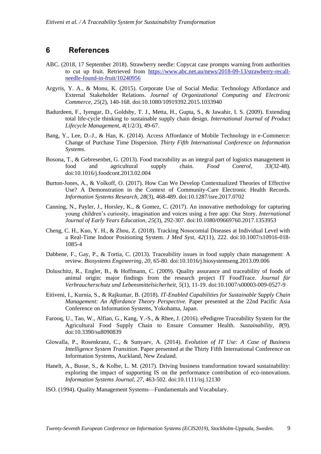### **6 References**

- ABC. (2018, 17 September 2018). Strawberry needle: Copycat case prompts warning from authorities to cut up fruit. Retrieved from [https://www.abc.net.au/news/2018-09-13/strawberry-recall](https://www.abc.net.au/news/2018-09-13/strawberry-recall-needle-found-in-fruit/10240956)[needle-found-in-fruit/10240956](https://www.abc.net.au/news/2018-09-13/strawberry-recall-needle-found-in-fruit/10240956)
- Argyris, Y. A., & Monu, K. (2015). Corporate Use of Social Media: Technology Affordance and External Stakeholder Relations. *Journal of Organizational Computing and Electronic Commerce, 25*(2), 140-168. doi:10.1080/10919392.2015.1033940
- Badurdeen, F., Iyengar, D., Goldsby, T. J., Metta, H., Gupta, S., & Jawahir, I. S. (2009). Extending total life-cycle thinking to sustainable supply chain design. *International Journal of Product Lifecycle Management, 4*(1/2/3), 49-67.
- Bang, Y., Lee, D.-J., & Han, K. (2014). Access Affordance of Mobile Technology in e-Commerce: Change of Purchase Time Dispersion. *Thirty Fifth International Conference on Information Systems*.
- Bosona, T., & Gebresenbet, G. (2013). Food traceability as an integral part of logistics management in food and agricultural supply chain. *Food Control, 33*(32-48). doi:10.1016/j.foodcont.2013.02.004
- Burton-Jones, A., & Volkoff, O. (2017). How Can We Develop Contextualized Theories of Effective Use? A Demonstration in the Context of Community-Care Electronic Health Records. *Information Systems Research, 28*(3), 468-489. doi:10.1287/isre.2017.0702
- Canning, N., Payler, J., Horsley, K., & Gomez, C. (2017). An innovative methodology for capturing young children's curiosity, imagination and voices using a free app: Our Story. *International Journal of Early Years Education, 25*(3), 292-307. doi:10.1080/09669760.2017.1353953
- Cheng, C. H., Kuo, Y. H., & Zhou, Z. (2018). Tracking Nosocomial Diseases at Individual Level with a Real-Time Indoor Positioning System. *J Med Syst, 42*(11), 222. doi:10.1007/s10916-018- 1085-4
- Dabbene, F., Gay, P., & Tortia, C. (2013). Traceability issues in food supply chain management: A review. *Biosystems Engineering, 20*, 65-80. doi:10.1016/j.biosystemseng.2013.09.006
- Doluschitz, R., Engler, B., & Hoffmann, C. (2009). Quality assurance and traceability of foods of animal origin: major findings from the research project IT FoodTrace. *Journal für Verbraucherschutz und Lebensmittelsicherheit, 5*(1), 11-19. doi:10.1007/s00003-009-0527-9
- Eitiveni, I., Kurnia, S., & Rajkumar, B. (2018). *IT-Enabled Capabilities for Sustainable Supply Chain Management: An Affordance Theory Perspective.* Paper presented at the 22nd Pacific Asia Conference on Information Systems, Yokohama, Japan.
- Farooq, U., Tao, W., Alfian, G., Kang, Y.-S., & Rhee, J. (2016). ePedigree Traceability System for the Agricultural Food Supply Chain to Ensure Consumer Health. *Sustainability, 8*(9). doi:10.3390/su8090839
- Glowalla, P., Rosenkranz, C., & Sunyaev, A. (2014). *Evolution of IT Use: A Case of Business Intelligence System Transition*. Paper presented at the Thirty Fifth International Conference on Information Systems, Auckland, New Zealand.
- Hanelt, A., Busse, S., & Kolbe, L. M. (2017). Driving business transformation toward sustainability: exploring the impact of supporting IS on the performance contribution of eco-innovations. *Information Systems Journal, 27*, 463-502. doi:10.1111/isj.12130
- ISO. (1994). Quality Management Systems—Fundamentals and Vocabulary.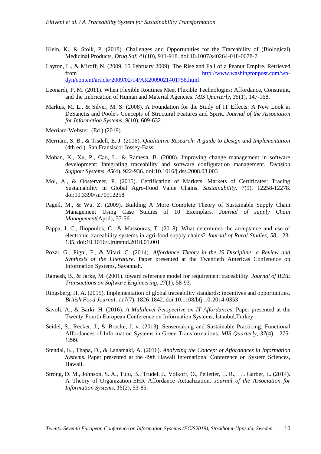- Klein, K., & Stolk, P. (2018). Challenges and Opportunities for the Traceability of (Biological) Medicinal Products. *Drug Saf, 41*(10), 911-918. doi:10.1007/s40264-018-0678-7
- Layton, L., & Miroff, N. (2009, 15 February 2009). The Rise and Fall of a Peanut Empire. Retrieved from [http://www.washingtonpost.com/wp](http://www.washingtonpost.com/wp-dyn/content/article/2009/02/14/AR2009021401758.html)[dyn/content/article/2009/02/14/AR2009021401758.html](http://www.washingtonpost.com/wp-dyn/content/article/2009/02/14/AR2009021401758.html)
- Leonardi, P. M. (2011). When Flexible Routines Meet Flexible Technologies: Affordance, Constraint, and the Imbrication of Human and Material Agencies. *MIS Quarterly, 35*(1), 147-168.
- Markus, M. L., & Silver, M. S. (2008). A Foundation for the Study of IT Effects: A New Look at DeSanctis and Poole's Concepts of Structural Features and Spirit. *Journal of the Association for Information Systems, 9*(10), 609-632.
- Merriam-Webster. (Ed.) (2019).
- Merriam, S. B., & Tisdell, E. J. (2016). *Qualitative Research: A guide to Design and Implementation* (4th ed.). San Fransisco: Jossey-Bass.
- Mohan, K., Xu, P., Cao, L., & Ramesh, B. (2008). Improving change management in software development: Integrating traceability and software configuration management. *Decision Support Systems, 45*(4), 922-936. doi:10.1016/j.dss.2008.03.003
- Mol, A., & Oosterveer, P. (2015). Certification of Markets, Markets of Certificates: Tracing Sustainability in Global Agro-Food Value Chains. *Sustainability, 7*(9), 12258-12278. doi:10.3390/su70912258
- Pagell, M., & Wu, Z. (2009). Building A More Complete Theory of Sustainable Supply Chain Management Using Case Studies of 10 Exemplars. *Journal of supply Chain Management*(April), 37-56.
- Pappa, I. C., Iliopoulos, C., & Massouras, T. (2018). What determines the acceptance and use of electronic traceability systems in agri-food supply chains? *Journal of Rural Studies, 58*, 123- 135. doi:10.1016/j.jrurstud.2018.01.001
- Pozzi, G., Pigni, F., & Vitari, C. (2014). *Affordance Theory in the IS Discipline: a Review and Synthesis of the Literature*. Paper presented at the Twentieth Americas Conference on Information Systems, Savannah.
- Ramesh, B., & Jarke, M. (2001). toward reference model for requirement traceability. *Journal of IEEE Transactions on Software Engineering, 27*(1), 58-93.
- Ringsberg, H. A. (2015). Implementation of global traceability standards: incentives and opportunities. *British Food Journal, 117*(7), 1826-1842. doi:10.1108/bfj-10-2014-0353
- Savoli, A., & Barki, H. (2016). *A Multilevel Perspective on IT Affordances*. Paper presented at the Twenty-Fourth European Conference on Information Systems, İstanbul,Turkey.
- Seidel, S., Recker, J., & Brocke, J. v. (2013). Sensemaking and Sustainable Practicing: Functional Affordances of Information Systems in Green Transformations. *MIS Quarterly, 37*(4), 1275- 1299.
- Stendal, K., Thapa, D., & Lanamaki, A. (2016). *Analyzing the Concept of Affordances in Information Systems*. Paper presented at the 49th Hawaii International Conference on System Sciences, Hawaii.
- Strong, D. M., Johnson, S. A., Tulu, B., Trudel, J., Volkoff, O., Pelletier, L. R., . . . Garber, L. (2014). A Theory of Organization-EHR Affordance Actualization. *Journal of the Association for Information Systems, 15*(2), 53-85.